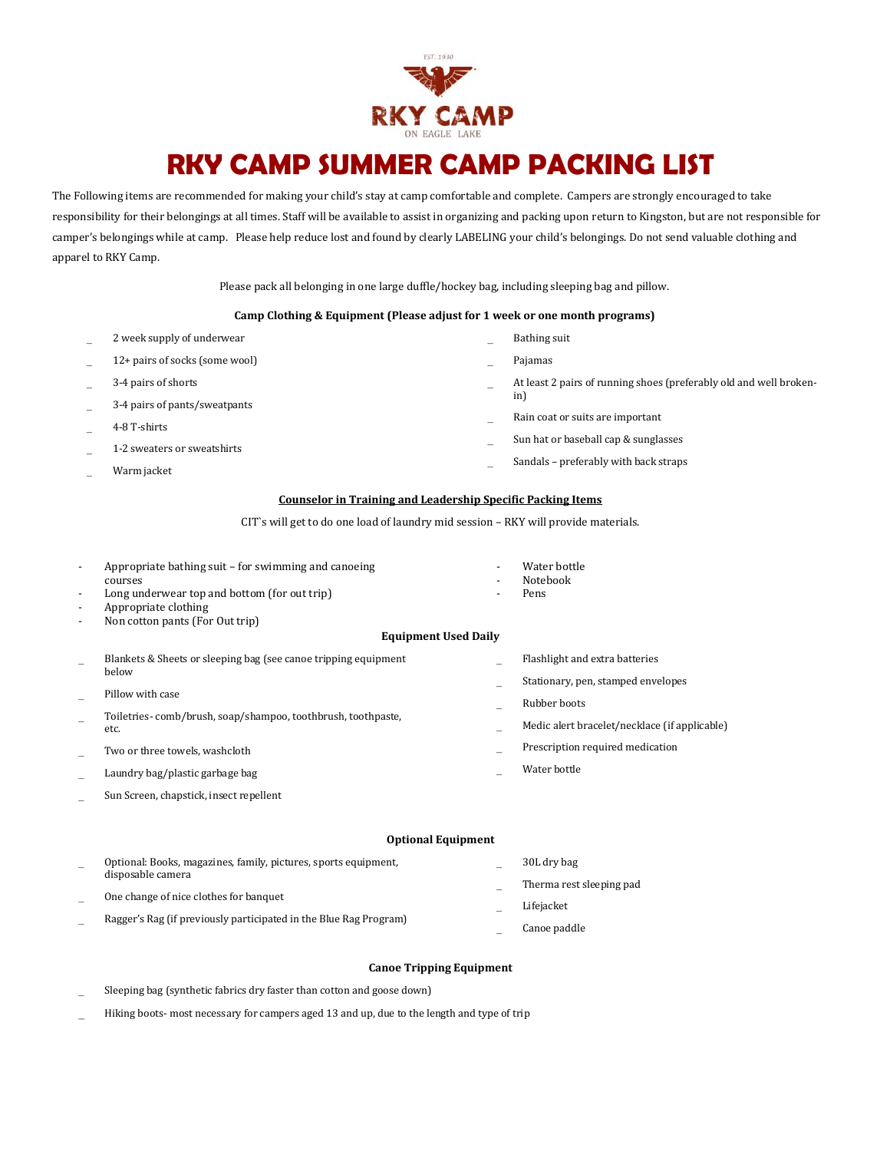

## **RKY CAMP SUMMER CAMP PACKING LIST**

The Following items are recommended for making your child's stay at camp comfortable and complete. Campers are strongly encouraged to take responsibility for their belongings at all times. Staff will be available to assist in organizing and packing upon return to Kingston, but are not responsible for camper's belongings while at camp. Please help reduce lost and found by clearly LABELING your child's belongings. Do not send valuable clothing and apparel to RKY Camp.

Please pack all belonging in one large duffle/hockey bag, including sleeping bag and pillow.

#### **Camp Clothing & Equipment (Please adjust for 1 week or one month programs)**

| 2 week supply of underwear     |   | Bathing suit                                                       |
|--------------------------------|---|--------------------------------------------------------------------|
| 12+ pairs of socks (some wool) |   | Pajamas                                                            |
| 3-4 pairs of shorts            | - | At least 2 pairs of running shoes (preferably old and well broken- |
| 3-4 pairs of pants/sweatpants  |   | in)                                                                |
| 4-8 T-shirts                   |   | Rain coat or suits are important                                   |
| 1-2 sweaters or sweatshirts    |   | Sun hat or baseball cap & sunglasses                               |
| Warm jacket                    |   | Sandals – preferably with back straps                              |

#### **Counselor in Training and Leadership Specific Packing Items**

CIT`s will get to do one load of laundry mid session – RKY will provide materials.

| -                        | Appropriate bathing suit – for swimming and canoeing                     |                          | Water bottle                                  |  |  |  |  |
|--------------------------|--------------------------------------------------------------------------|--------------------------|-----------------------------------------------|--|--|--|--|
|                          | courses                                                                  | $\overline{\phantom{a}}$ | <b>Notebook</b>                               |  |  |  |  |
| $\overline{\phantom{a}}$ | Long underwear top and bottom (for out trip)                             | $\overline{\phantom{a}}$ | Pens                                          |  |  |  |  |
| $\overline{\phantom{a}}$ | Appropriate clothing                                                     |                          |                                               |  |  |  |  |
| $\overline{\phantom{0}}$ | Non cotton pants (For Out trip)                                          |                          |                                               |  |  |  |  |
|                          | <b>Equipment Used Daily</b>                                              |                          |                                               |  |  |  |  |
|                          | Blankets & Sheets or sleeping bag (see canoe tripping equipment<br>below |                          | Flashlight and extra batteries                |  |  |  |  |
|                          |                                                                          |                          | Stationary, pen, stamped envelopes            |  |  |  |  |
|                          | Pillow with case                                                         |                          |                                               |  |  |  |  |
|                          | Toiletries-comb/brush, soap/shampoo, toothbrush, toothpaste,<br>etc.     |                          | Rubber boots                                  |  |  |  |  |
| -                        |                                                                          |                          | Medic alert bracelet/necklace (if applicable) |  |  |  |  |
|                          | Two or three towels, washcloth                                           |                          | Prescription required medication              |  |  |  |  |
|                          | Laundry bag/plastic garbage bag                                          |                          | Water bottle                                  |  |  |  |  |
| -                        | Sun Screen, chapstick, insect repellent                                  |                          |                                               |  |  |  |  |
|                          |                                                                          |                          |                                               |  |  |  |  |

#### **Optional Equipment**

| Optional: Books, magazines, family, pictures, sports equipment,   | 30L dry bag              |
|-------------------------------------------------------------------|--------------------------|
| disposable camera                                                 | Therma rest sleeping pad |
| One change of nice clothes for banquet                            | Lifejacket               |
| Ragger's Rag (if previously participated in the Blue Rag Program) | Canoe paddle             |

### **Canoe Tripping Equipment**

Sleeping bag (synthetic fabrics dry faster than cotton and goose down)

Hiking boots- most necessary for campers aged 13 and up, due to the length and type of trip